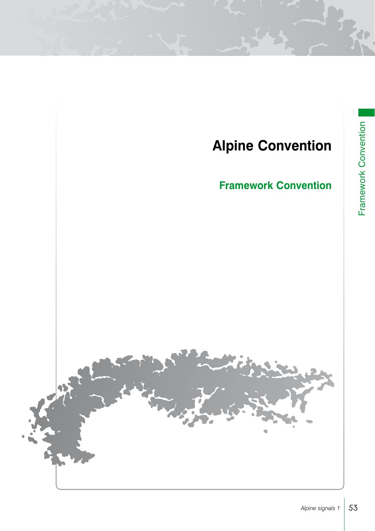# **Alpine Convention**

# **Framework Convention**

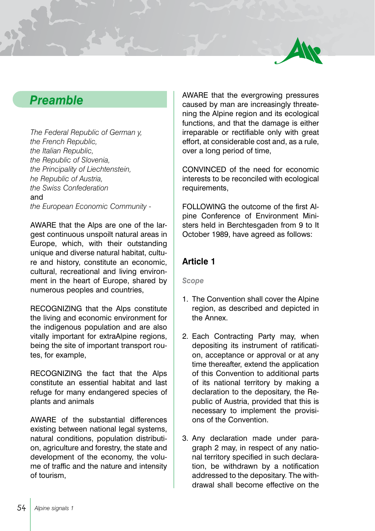

## *Preamble*

*The Federal Republic of German y, the French Republic, the Italian Republic, the Republic of Slovenia, the Principality of Liechtenstein, he Republic of Austria, the Swiss Confederation*  and *the European Economic Community -*

AWARE that the Alps are one of the largest continuous unspoilt natural areas in Europe, which, with their outstanding unique and diverse natural habitat, culture and history, constitute an economic, cultural, recreational and living environment in the heart of Europe, shared by numerous peoples and countries,

RECOGNIZING that the Alps constitute the living and economic environment for the indigenous population and are also vitally important for extraAlpine regions, being the site of important transport routes, for example,

RECOGNIZING the fact that the Alps constitute an essential habitat and last refuge for many endangered species of plants and animals

AWARE of the substantial differences existing between national legal systems, natural conditions, population distribution, agriculture and forestry, the state and development of the economy, the volume of traffic and the nature and intensity of tourism,

AWARE that the evergrowing pressures caused by man are increasingly threatening the Alpine region and its ecological functions, and that the damage is either irreparable or rectifiable only with great effort, at considerable cost and, as a rule, over a long period of time,

CONVINCED of the need for economic interests to be reconciled with ecological requirements.

FOLLOWING the outcome of the first Alpine Conference of Environment Ministers held in Berchtesgaden from 9 to It October 1989, have agreed as follows:

## **Article 1**

*Scope*

- 1. The Convention shall cover the Alpine region, as described and depicted in the Annex.
- 2. Each Contracting Party may, when depositing its instrument of ratification, acceptance or approval or at any time thereafter, extend the application of this Convention to additional parts of its national territory by making a declaration to the depositary, the Republic of Austria, provided that this is necessary to implement the provisions of the Convention.
- 3. Any declaration made under paragraph 2 may, in respect of any national territory specified in such declaration, be withdrawn by a notification addressed to the depositary. The withdrawal shall become effective on the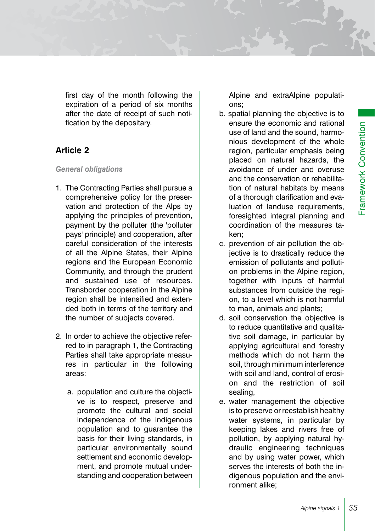first day of the month following the expiration of a period of six months after the date of receipt of such notification by the depositary.

## **Article 2**

#### *General obligations*

- 1. The Contracting Parties shall pursue a comprehensive policy for the preservation and protection of the Alps by applying the principles of prevention, payment by the polluter (the 'polluter pays' principle) and cooperation, after careful consideration of the interests of all the Alpine States, their Alpine regions and the European Economic Community, and through the prudent and sustained use of resources. Transborder cooperation in the Alpine region shall be intensified and extended both in terms of the territory and the number of subjects covered.
- 2. In order to achieve the objective referred to in paragraph 1, the Contracting Parties shall take appropriate measures in particular in the following areas:
	- a. population and culture the objective is to respect, preserve and promote the cultural and social independence of the indigenous population and to guarantee the basis for their living standards, in particular environmentally sound settlement and economic development, and promote mutual understanding and cooperation between

Alpine and extraAlpine populations;

b. spatial planning the objective is to ensure the economic and rational use of land and the sound, harmonious development of the whole region, particular emphasis being placed on natural hazards, the avoidance of under and overuse and the conservation or rehabilitation of natural habitats by means of a thorough clarification and evaluation of landuse requirements, foresighted integral planning and coordination of the measures taken;

Framework Convention

Framework Convention

- c. prevention of air pollution the objective is to drastically reduce the emission of pollutants and pollution problems in the Alpine region, together with inputs of harmful substances from outside the region, to a level which is not harmful to man, animals and plants;
- d. soil conservation the objective is to reduce quantitative and qualitative soil damage, in particular by applying agricultural and forestry methods which do not harm the soil, through minimum interference with soil and land, control of erosion and the restriction of soil sealing,
- e. water management the objective is to preserve or reestablish healthy water systems, in particular by keeping lakes and rivers free of pollution, by applying natural hydraulic engineering techniques and by using water power, which serves the interests of both the indigenous population and the environment alike;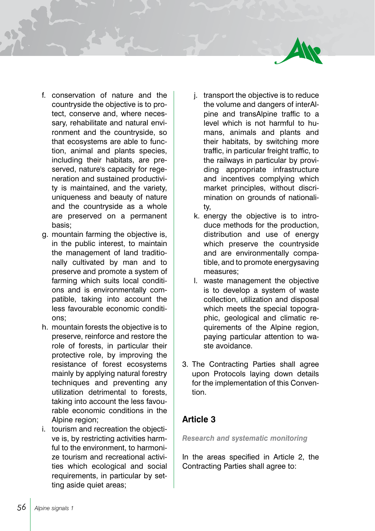

- f. conservation of nature and the countryside the objective is to protect, conserve and, where necessary, rehabilitate and natural environment and the countryside, so that ecosystems are able to function, animal and plants species, including their habitats, are preserved, nature's capacity for regeneration and sustained productivity is maintained, and the variety, uniqueness and beauty of nature and the countryside as a whole are preserved on a permanent basis;
- g. mountain farming the objective is, in the public interest, to maintain the management of land traditionally cultivated by man and to preserve and promote a system of farming which suits local conditions and is environmentally compatible, taking into account the less favourable economic conditions;
- h. mountain forests the objective is to preserve, reinforce and restore the role of forests, in particular their protective role, by improving the resistance of forest ecosystems mainly by applying natural forestry techniques and preventing any utilization detrimental to forests, taking into account the less favourable economic conditions in the Alpine region;
- i. tourism and recreation the objective is, by restricting activities harmful to the environment, to harmonize tourism and recreational activities which ecological and social requirements, in particular by setting aside quiet areas:
- j. transport the objective is to reduce the volume and dangers of interAlpine and transAlpine traffic to a level which is not harmful to humans, animals and plants and their habitats, by switching more traffic, in particular freight traffic, to the railways in particular by providing appropriate infrastructure and incentives complying which market principles, without discrimination on grounds of nationality,
- k. energy the objective is to introduce methods for the production, distribution and use of energy which preserve the countryside and are environmentally compatible, and to promote energysaving measures;
- l. waste management the objective is to develop a system of waste collection, utilization and disposal which meets the special topographic, geological and climatic requirements of the Alpine region, paying particular attention to waste avoidance.
- 3. The Contracting Parties shall agree upon Protocols laying down details for the implementation of this Convention.

## **Article 3**

*Research and systematic monitoring*

In the areas specified in Article 2, the Contracting Parties shall agree to: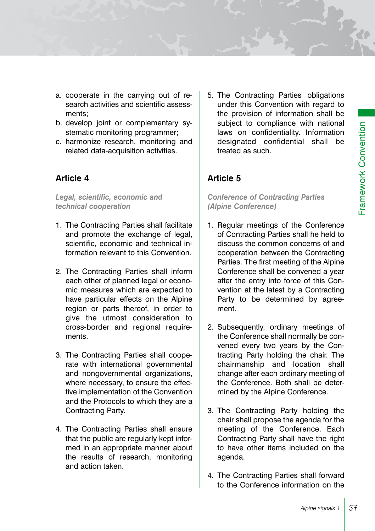- a. cooperate in the carrying out of research activities and scientific assessments;
- b. develop joint or complementary systematic monitoring programmer;
- c. harmonize research, monitoring and related data-acquisition activities.

## **Article 4**

*Legal, scientific, economic and technical cooperation*

- 1. The Contracting Parties shall facilitate and promote the exchange of legal, scientific, economic and technical information relevant to this Convention.
- 2. The Contracting Parties shall inform each other of planned legal or economic measures which are expected to have particular effects on the Alpine region or parts thereof, in order to give the utmost consideration to cross-border and regional requirements.
- 3. The Contracting Parties shall cooperate with international governmental and nongovernmental organizations, where necessary, to ensure the effective implementation of the Convention and the Protocols to which they are a Contracting Party.
- 4. The Contracting Parties shall ensure that the public are regularly kept informed in an appropriate manner about the results of research, monitoring and action taken.

5. The Contracting Parties' obligations under this Convention with regard to the provision of information shall be subject to compliance with national laws on confidentiality. Information designated confidential shall be treated as such.

## **Article 5**

*Conference of Contracting Parties (Alpine Conference)*

- 1. Regular meetings of the Conference of Contracting Parties shall he held to discuss the common concerns of and cooperation between the Contracting Parties. The first meeting of the Alpine Conference shall be convened a year after the entry into force of this Convention at the latest by a Contracting Party to be determined by agreement.
- 2. Subsequently, ordinary meetings of the Conference shall normally be convened every two years by the Contracting Party holding the chair. The chairmanship and location shall change after each ordinary meeting of the Conference. Both shall be determined by the Alpine Conference.
- 3. The Contracting Party holding the chair shall propose the agenda for the meeting of the Conference. Each Contracting Party shall have the right to have other items included on the agenda.
- 4. The Contracting Parties shall forward to the Conference information on the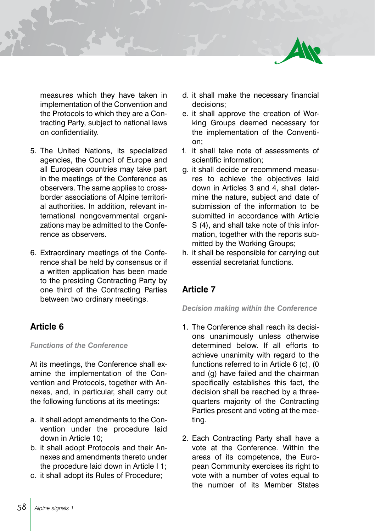

measures which they have taken in implementation of the Convention and the Protocols to which they are a Contracting Party, subject to national laws on confidentiality.

- 5. The United Nations, its specialized agencies, the Council of Europe and all European countries may take part in the meetings of the Conference as observers. The same applies to crossborder associations of Alpine territorial authorities. In addition, relevant international nongovernmental organizations may be admitted to the Conference as observers.
- 6. Extraordinary meetings of the Conference shall be held by consensus or if a written application has been made to the presiding Contracting Party by one third of the Contracting Parties between two ordinary meetings.

## **Article 6**

#### *Functions of the Conference*

At its meetings, the Conference shall examine the implementation of the Convention and Protocols, together with Annexes, and, in particular, shall carry out the following functions at its meetings:

- a. it shall adopt amendments to the Convention under the procedure laid down in Article 10;
- b. it shall adopt Protocols and their Annexes and amendments thereto under the procedure laid down in Article I 1;
- c. it shall adopt its Rules of Procedure;
- d. it shall make the necessary financial decisions;
- e. it shall approve the creation of Working Groups deemed necessary for the implementation of the Convention;
- f. it shall take note of assessments of scientific information;
- g. it shall decide or recommend measures to achieve the objectives laid down in Articles 3 and 4, shall determine the nature, subject and date of submission of the information to be submitted in accordance with Article S (4), and shall take note of this information, together with the reports submitted by the Working Groups;
- h. it shall be responsible for carrying out essential secretariat functions.

## **Article 7**

#### *Decision making within the Conference*

- 1. The Conference shall reach its decisions unanimously unless otherwise determined below. If all efforts to achieve unanimity with regard to the functions referred to in Article 6 (c), (0 and (g) have failed and the chairman specifically establishes this fact, the decision shall be reached by a threequarters majority of the Contracting Parties present and voting at the meeting.
- 2. Each Contracting Party shall have a vote at the Conference. Within the areas of its competence, the European Community exercises its right to vote with a number of votes equal to the number of its Member States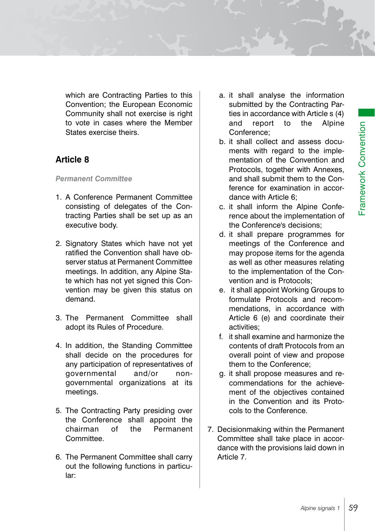which are Contracting Parties to this Convention; the European Economic Community shall not exercise is right to vote in cases where the Member States exercise theirs.

## **Article 8**

#### *Permanent Committee*

- 1. A Conference Permanent Committee consisting of delegates of the Contracting Parties shall be set up as an executive body.
- 2. Signatory States which have not yet ratified the Convention shall have observer status at Permanent Committee meetings. In addition, any Alpine State which has not yet signed this Convention may be given this status on demand.
- 3. The Permanent Committee shall adopt its Rules of Procedure.
- 4. In addition, the Standing Committee shall decide on the procedures for any participation of representatives of governmental and/or nongovernmental organizations at its meetings.
- 5. The Contracting Party presiding over the Conference shall appoint the chairman of the Permanent Committee.
- 6. The Permanent Committee shall carry out the following functions in particular:
- a. it shall analyse the information submitted by the Contracting Parties in accordance with Article s (4) and report to the Alpine Conference;
- b. it shall collect and assess documents with regard to the implementation of the Convention and Protocols, together with Annexes, and shall submit them to the Conference for examination in accordance with Article 6;
- c. it shall inform the Alpine Conference about the implementation of the Conference's decisions;
- d. it shall prepare programmes for meetings of the Conference and may propose items for the agenda as well as other measures relating to the implementation of the Convention and is Protocols;
- e. it shall appoint Working Groups to formulate Protocols and recommendations, in accordance with Article 6 (e) and coordinate their activities;
- f. it shall examine and harmonize the contents of draft Protocols from an overall point of view and propose them to the Conference;
- g. it shall propose measures and recommendations for the achievement of the objectives contained in the Convention and its Protocols to the Conference.
- 7. Decisionmaking within the Permanent Committee shall take place in accordance with the provisions laid down in Article 7.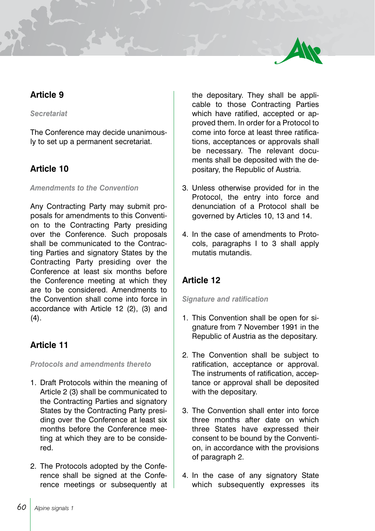

## **Article 9**

#### *Secretariat*

The Conference may decide unanimously to set up a permanent secretariat.

## **Article 10**

#### *Amendments to the Convention*

Any Contracting Party may submit proposals for amendments to this Convention to the Contracting Party presiding over the Conference. Such proposals shall be communicated to the Contracting Parties and signatory States by the Contracting Party presiding over the Conference at least six months before the Conference meeting at which they are to be considered. Amendments to the Convention shall come into force in accordance with Article 12 (2), (3) and  $(4).$ 

## **Article 11**

*Protocols and amendments thereto*

- 1. Draft Protocols within the meaning of Article 2 (3) shall be communicated to the Contracting Parties and signatory States by the Contracting Party presiding over the Conference at least six months before the Conference meeting at which they are to be considered.
- 2. The Protocols adopted by the Conference shall be signed at the Conference meetings or subsequently at

the depositary. They shall be applicable to those Contracting Parties which have ratified, accepted or approved them. In order for a Protocol to come into force at least three ratifications, acceptances or approvals shall be necessary. The relevant documents shall be deposited with the depositary, the Republic of Austria.

- 3. Unless otherwise provided for in the Protocol, the entry into force and denunciation of a Protocol shall be governed by Articles 10, 13 and 14.
- 4. In the case of amendments to Protocols, paragraphs I to 3 shall apply mutatis mutandis.

## **Article 12**

#### *Signature and ratification*

- 1. This Convention shall be open for signature from 7 November 1991 in the Republic of Austria as the depositary.
- 2. The Convention shall be subject to ratification, acceptance or approval. The instruments of ratification, acceptance or approval shall be deposited with the depositary.
- 3. The Convention shall enter into force three months after date on which three States have expressed their consent to be bound by the Convention, in accordance with the provisions of paragraph 2.
- 4. In the case of any signatory State which subsequently expresses its